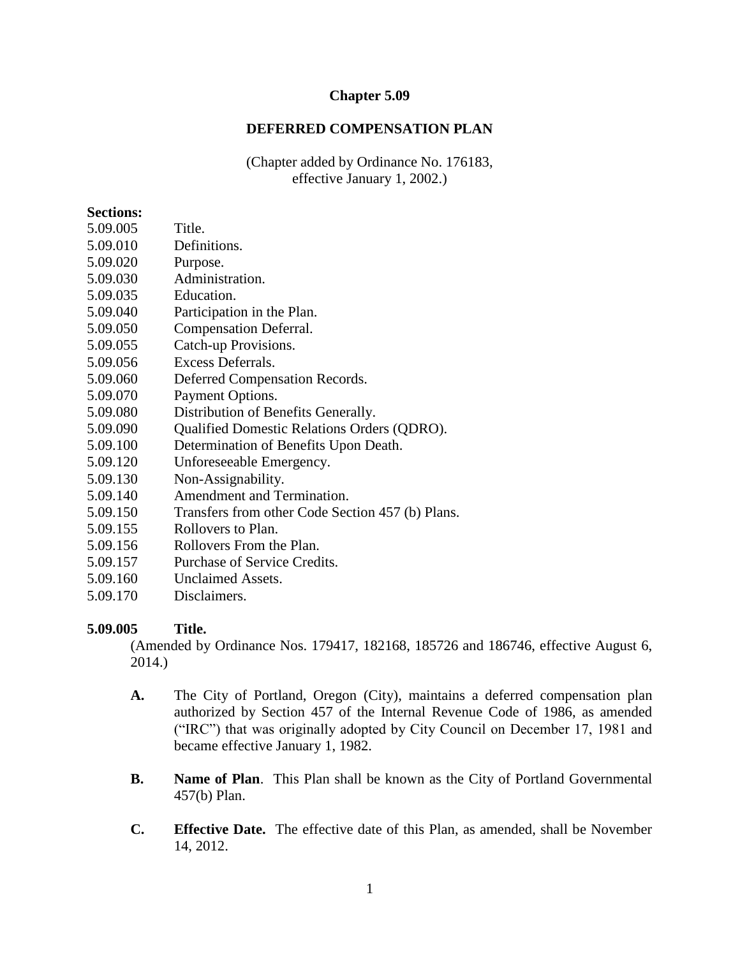## **Chapter 5.09**

## **DEFERRED COMPENSATION PLAN**

(Chapter added by Ordinance No. 176183, effective January 1, 2002.)

#### **Sections:**

- 5.09.005 Title.
- 5.09.010 Definitions.
- 5.09.020 Purpose.
- 5.09.030 Administration.
- 5.09.035 Education.
- 5.09.040 Participation in the Plan.
- 5.09.050 Compensation Deferral.
- 5.09.055 Catch-up Provisions.
- 5.09.056 Excess Deferrals.
- 5.09.060 Deferred Compensation Records.
- 5.09.070 Payment Options.
- 5.09.080 Distribution of Benefits Generally.
- 5.09.090 Qualified Domestic Relations Orders (QDRO).
- 5.09.100 Determination of Benefits Upon Death.
- 5.09.120 Unforeseeable Emergency.
- 5.09.130 Non-Assignability.
- 5.09.140 Amendment and Termination.
- 5.09.150 Transfers from other Code Section 457 (b) Plans.
- 5.09.155 Rollovers to Plan.
- 5.09.156 Rollovers From the Plan.
- 5.09.157 Purchase of Service Credits.
- 5.09.160 Unclaimed Assets.
- 5.09.170 Disclaimers.

### **5.09.005 Title.**

(Amended by Ordinance Nos. 179417, 182168, 185726 and 186746, effective August 6, 2014.)

- **A.** The City of Portland, Oregon (City), maintains a deferred compensation plan authorized by Section 457 of the Internal Revenue Code of 1986, as amended ("IRC") that was originally adopted by City Council on December 17, 1981 and became effective January 1, 1982.
- **B. Name of Plan**. This Plan shall be known as the City of Portland Governmental 457(b) Plan.
- **C. Effective Date.** The effective date of this Plan, as amended, shall be November 14, 2012.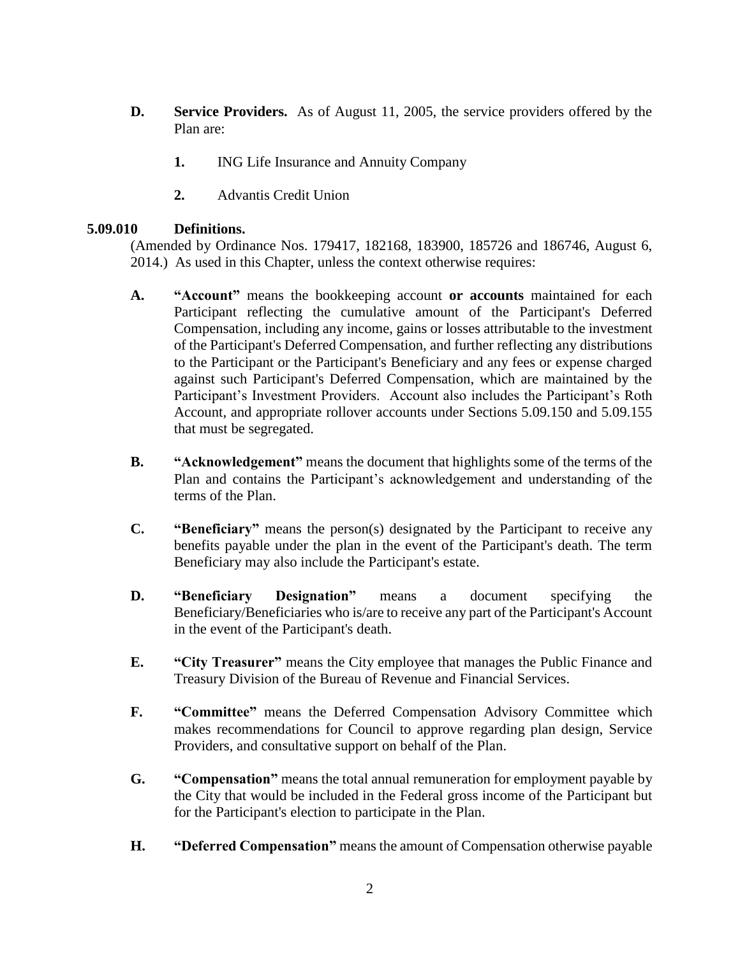- **D. Service Providers.** As of August 11, 2005, the service providers offered by the Plan are:
	- **1.** ING Life Insurance and Annuity Company
	- **2.** Advantis Credit Union

# **5.09.010 Definitions.**

(Amended by Ordinance Nos. 179417, 182168, 183900, 185726 and 186746, August 6, 2014.) As used in this Chapter, unless the context otherwise requires:

- **A. "Account"** means the bookkeeping account **or accounts** maintained for each Participant reflecting the cumulative amount of the Participant's Deferred Compensation, including any income, gains or losses attributable to the investment of the Participant's Deferred Compensation, and further reflecting any distributions to the Participant or the Participant's Beneficiary and any fees or expense charged against such Participant's Deferred Compensation, which are maintained by the Participant's Investment Providers. Account also includes the Participant's Roth Account, and appropriate rollover accounts under Sections 5.09.150 and 5.09.155 that must be segregated.
- **B. "Acknowledgement"** means the document that highlights some of the terms of the Plan and contains the Participant's acknowledgement and understanding of the terms of the Plan.
- **C. "Beneficiary"** means the person(s) designated by the Participant to receive any benefits payable under the plan in the event of the Participant's death. The term Beneficiary may also include the Participant's estate.
- **D. "Beneficiary Designation"** means a document specifying the Beneficiary/Beneficiaries who is/are to receive any part of the Participant's Account in the event of the Participant's death.
- **E. "City Treasurer"** means the City employee that manages the Public Finance and Treasury Division of the Bureau of Revenue and Financial Services.
- **F. "Committee"** means the Deferred Compensation Advisory Committee which makes recommendations for Council to approve regarding plan design, Service Providers, and consultative support on behalf of the Plan.
- **G. "Compensation"** means the total annual remuneration for employment payable by the City that would be included in the Federal gross income of the Participant but for the Participant's election to participate in the Plan.
- **H. "Deferred Compensation"** means the amount of Compensation otherwise payable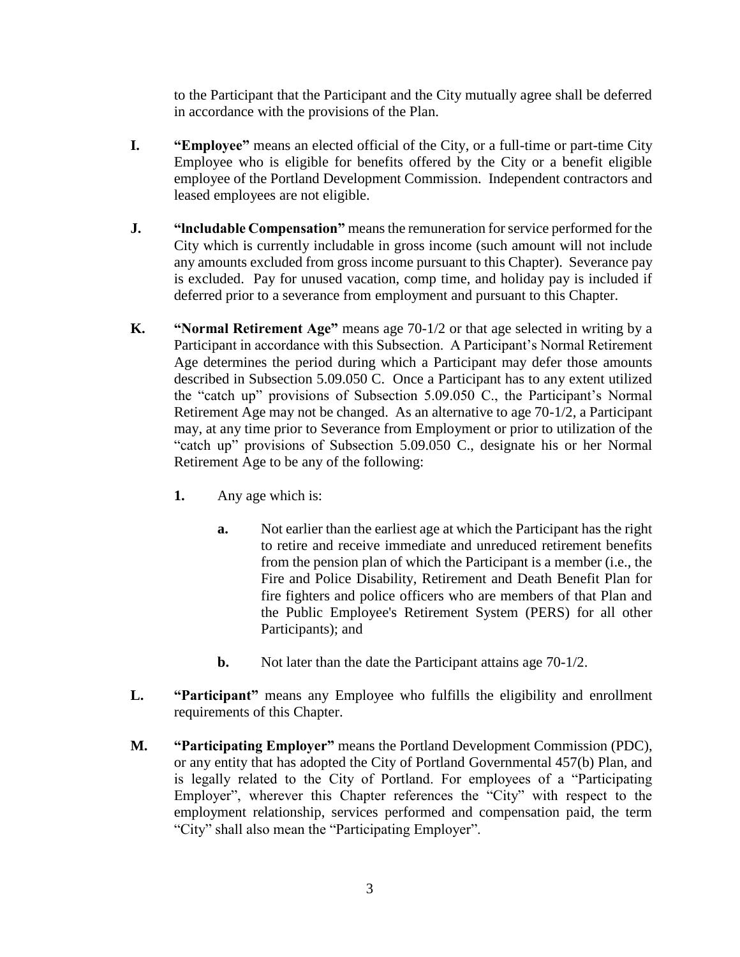to the Participant that the Participant and the City mutually agree shall be deferred in accordance with the provisions of the Plan.

- **I. "Employee"** means an elected official of the City, or a full-time or part-time City Employee who is eligible for benefits offered by the City or a benefit eligible employee of the Portland Development Commission. Independent contractors and leased employees are not eligible.
- **J. "lncludable Compensation"** means the remuneration for service performed for the City which is currently includable in gross income (such amount will not include any amounts excluded from gross income pursuant to this Chapter). Severance pay is excluded. Pay for unused vacation, comp time, and holiday pay is included if deferred prior to a severance from employment and pursuant to this Chapter.
- **K. "Normal Retirement Age"** means age 70-1/2 or that age selected in writing by a Participant in accordance with this Subsection. A Participant's Normal Retirement Age determines the period during which a Participant may defer those amounts described in Subsection 5.09.050 C. Once a Participant has to any extent utilized the "catch up" provisions of Subsection 5.09.050 C., the Participant's Normal Retirement Age may not be changed. As an alternative to age 70-1/2, a Participant may, at any time prior to Severance from Employment or prior to utilization of the "catch up" provisions of Subsection 5.09.050 C., designate his or her Normal Retirement Age to be any of the following:
	- **1.** Any age which is:
		- **a.** Not earlier than the earliest age at which the Participant has the right to retire and receive immediate and unreduced retirement benefits from the pension plan of which the Participant is a member (i.e., the Fire and Police Disability, Retirement and Death Benefit Plan for fire fighters and police officers who are members of that Plan and the Public Employee's Retirement System (PERS) for all other Participants); and
		- **b.** Not later than the date the Participant attains age 70-1/2.
- **L. "Participant"** means any Employee who fulfills the eligibility and enrollment requirements of this Chapter.
- **M. "Participating Employer"** means the Portland Development Commission (PDC), or any entity that has adopted the City of Portland Governmental 457(b) Plan, and is legally related to the City of Portland. For employees of a "Participating Employer", wherever this Chapter references the "City" with respect to the employment relationship, services performed and compensation paid, the term "City" shall also mean the "Participating Employer".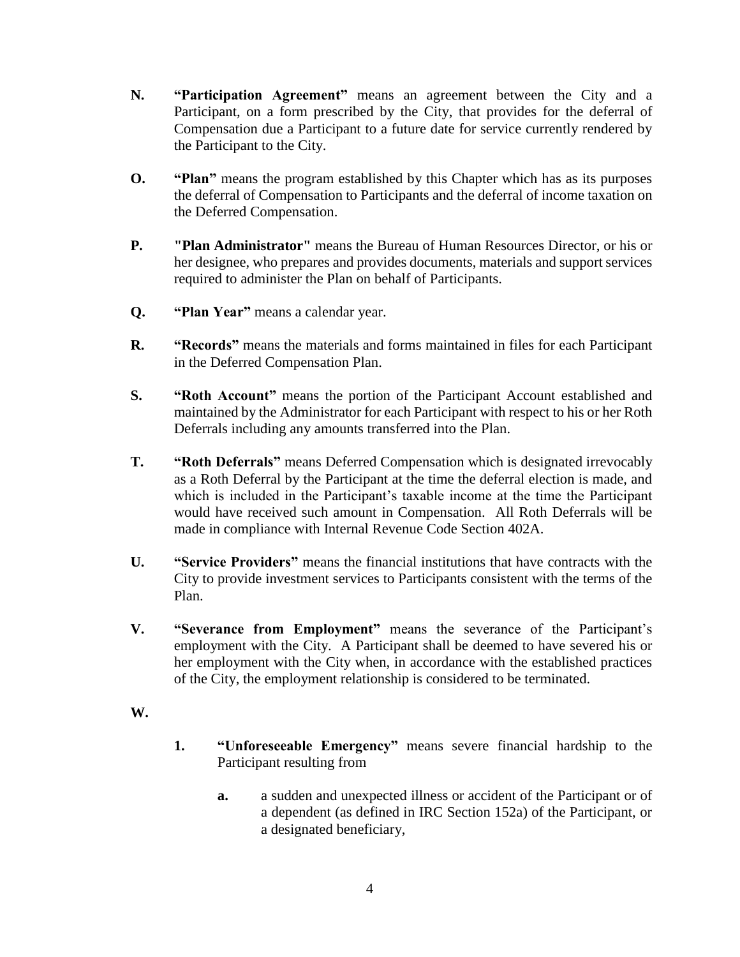- **N. "Participation Agreement"** means an agreement between the City and a Participant, on a form prescribed by the City, that provides for the deferral of Compensation due a Participant to a future date for service currently rendered by the Participant to the City.
- **O. "Plan"** means the program established by this Chapter which has as its purposes the deferral of Compensation to Participants and the deferral of income taxation on the Deferred Compensation.
- **P. "Plan Administrator"** means the Bureau of Human Resources Director, or his or her designee, who prepares and provides documents, materials and support services required to administer the Plan on behalf of Participants.
- **Q. "Plan Year"** means a calendar year.
- **R. "Records"** means the materials and forms maintained in files for each Participant in the Deferred Compensation Plan.
- **S. "Roth Account"** means the portion of the Participant Account established and maintained by the Administrator for each Participant with respect to his or her Roth Deferrals including any amounts transferred into the Plan.
- **T. "Roth Deferrals"** means Deferred Compensation which is designated irrevocably as a Roth Deferral by the Participant at the time the deferral election is made, and which is included in the Participant's taxable income at the time the Participant would have received such amount in Compensation. All Roth Deferrals will be made in compliance with Internal Revenue Code Section 402A.
- **U. "Service Providers"** means the financial institutions that have contracts with the City to provide investment services to Participants consistent with the terms of the Plan.
- **V. "Severance from Employment"** means the severance of the Participant's employment with the City. A Participant shall be deemed to have severed his or her employment with the City when, in accordance with the established practices of the City, the employment relationship is considered to be terminated.
- **W.**
- **1. "Unforeseeable Emergency"** means severe financial hardship to the Participant resulting from
	- **a.** a sudden and unexpected illness or accident of the Participant or of a dependent (as defined in IRC Section 152a) of the Participant, or a designated beneficiary,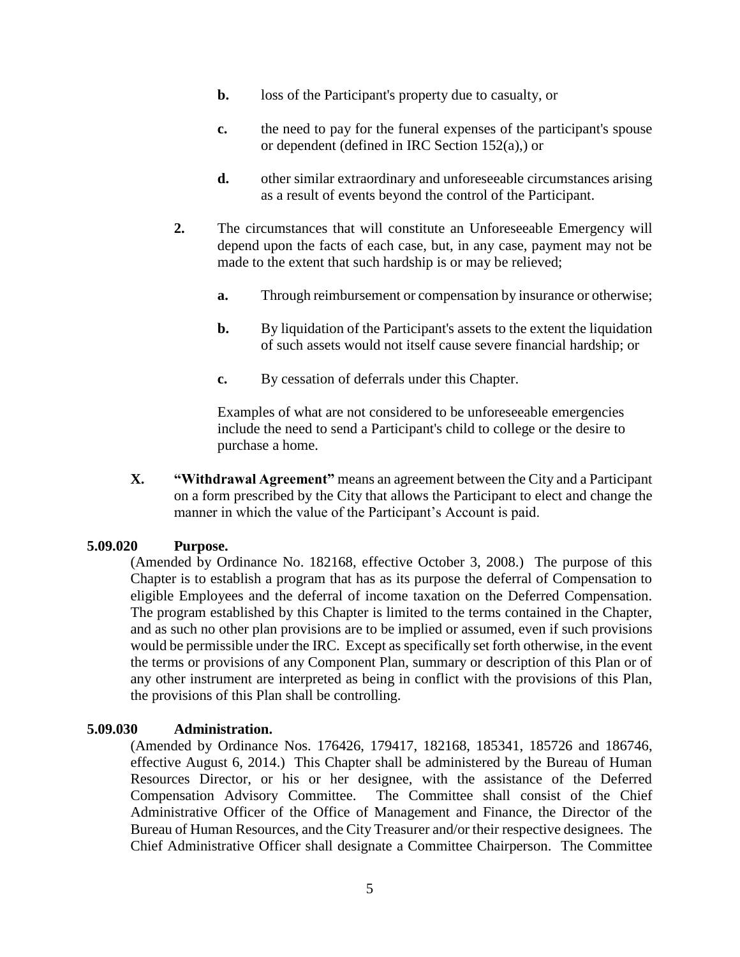- **b.** loss of the Participant's property due to casualty, or
- **c.** the need to pay for the funeral expenses of the participant's spouse or dependent (defined in IRC Section 152(a),) or
- **d.** other similar extraordinary and unforeseeable circumstances arising as a result of events beyond the control of the Participant.
- **2.** The circumstances that will constitute an Unforeseeable Emergency will depend upon the facts of each case, but, in any case, payment may not be made to the extent that such hardship is or may be relieved;
	- **a.** Through reimbursement or compensation by insurance or otherwise;
	- **b.** By liquidation of the Participant's assets to the extent the liquidation of such assets would not itself cause severe financial hardship; or
	- **c.** By cessation of deferrals under this Chapter.

Examples of what are not considered to be unforeseeable emergencies include the need to send a Participant's child to college or the desire to purchase a home.

**X. "Withdrawal Agreement"** means an agreement between the City and a Participant on a form prescribed by the City that allows the Participant to elect and change the manner in which the value of the Participant's Account is paid.

### **5.09.020 Purpose.**

(Amended by Ordinance No. 182168, effective October 3, 2008.) The purpose of this Chapter is to establish a program that has as its purpose the deferral of Compensation to eligible Employees and the deferral of income taxation on the Deferred Compensation. The program established by this Chapter is limited to the terms contained in the Chapter, and as such no other plan provisions are to be implied or assumed, even if such provisions would be permissible under the IRC. Except as specifically set forth otherwise, in the event the terms or provisions of any Component Plan, summary or description of this Plan or of any other instrument are interpreted as being in conflict with the provisions of this Plan, the provisions of this Plan shall be controlling.

### **5.09.030 Administration.**

(Amended by Ordinance Nos. 176426, 179417, 182168, 185341, 185726 and 186746, effective August 6, 2014.) This Chapter shall be administered by the Bureau of Human Resources Director, or his or her designee, with the assistance of the Deferred Compensation Advisory Committee. The Committee shall consist of the Chief Administrative Officer of the Office of Management and Finance, the Director of the Bureau of Human Resources, and the City Treasurer and/or their respective designees. The Chief Administrative Officer shall designate a Committee Chairperson. The Committee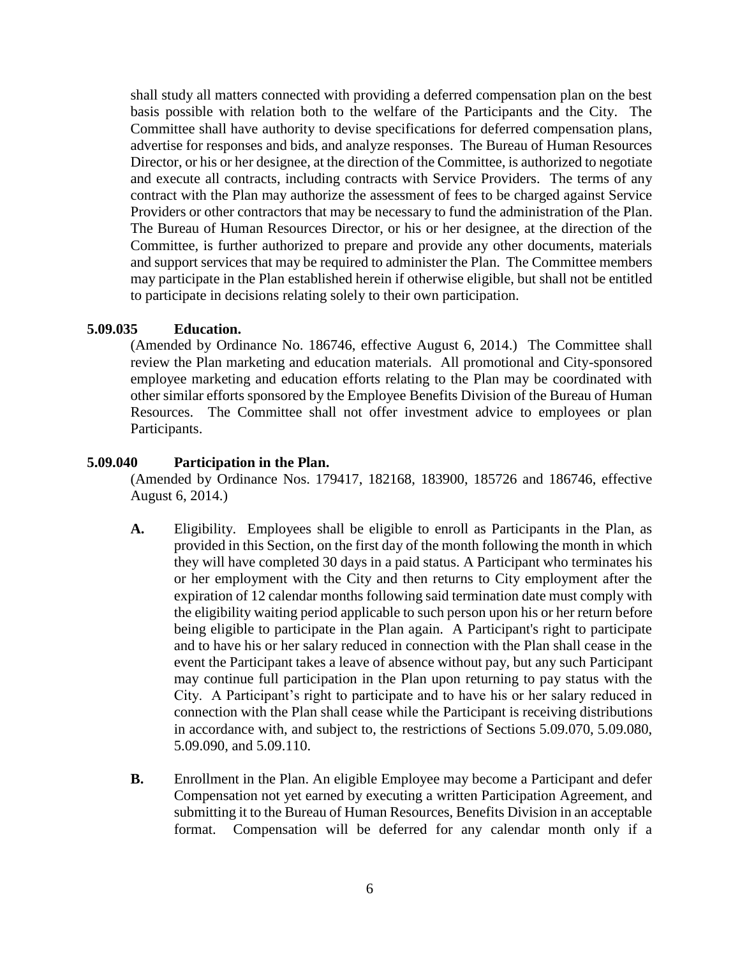shall study all matters connected with providing a deferred compensation plan on the best basis possible with relation both to the welfare of the Participants and the City. The Committee shall have authority to devise specifications for deferred compensation plans, advertise for responses and bids, and analyze responses. The Bureau of Human Resources Director, or his or her designee, at the direction of the Committee, is authorized to negotiate and execute all contracts, including contracts with Service Providers. The terms of any contract with the Plan may authorize the assessment of fees to be charged against Service Providers or other contractors that may be necessary to fund the administration of the Plan. The Bureau of Human Resources Director, or his or her designee, at the direction of the Committee, is further authorized to prepare and provide any other documents, materials and support services that may be required to administer the Plan. The Committee members may participate in the Plan established herein if otherwise eligible, but shall not be entitled to participate in decisions relating solely to their own participation.

### **5.09.035 Education.**

(Amended by Ordinance No. 186746, effective August 6, 2014.) The Committee shall review the Plan marketing and education materials. All promotional and City-sponsored employee marketing and education efforts relating to the Plan may be coordinated with other similar efforts sponsored by the Employee Benefits Division of the Bureau of Human Resources. The Committee shall not offer investment advice to employees or plan Participants.

### **5.09.040 Participation in the Plan.**

(Amended by Ordinance Nos. 179417, 182168, 183900, 185726 and 186746, effective August 6, 2014.)

- **A.** Eligibility. Employees shall be eligible to enroll as Participants in the Plan, as provided in this Section, on the first day of the month following the month in which they will have completed 30 days in a paid status. A Participant who terminates his or her employment with the City and then returns to City employment after the expiration of 12 calendar months following said termination date must comply with the eligibility waiting period applicable to such person upon his or her return before being eligible to participate in the Plan again. A Participant's right to participate and to have his or her salary reduced in connection with the Plan shall cease in the event the Participant takes a leave of absence without pay, but any such Participant may continue full participation in the Plan upon returning to pay status with the City. A Participant's right to participate and to have his or her salary reduced in connection with the Plan shall cease while the Participant is receiving distributions in accordance with, and subject to, the restrictions of Sections 5.09.070, 5.09.080, 5.09.090, and 5.09.110.
- **B.** Enrollment in the Plan. An eligible Employee may become a Participant and defer Compensation not yet earned by executing a written Participation Agreement, and submitting it to the Bureau of Human Resources, Benefits Division in an acceptable format. Compensation will be deferred for any calendar month only if a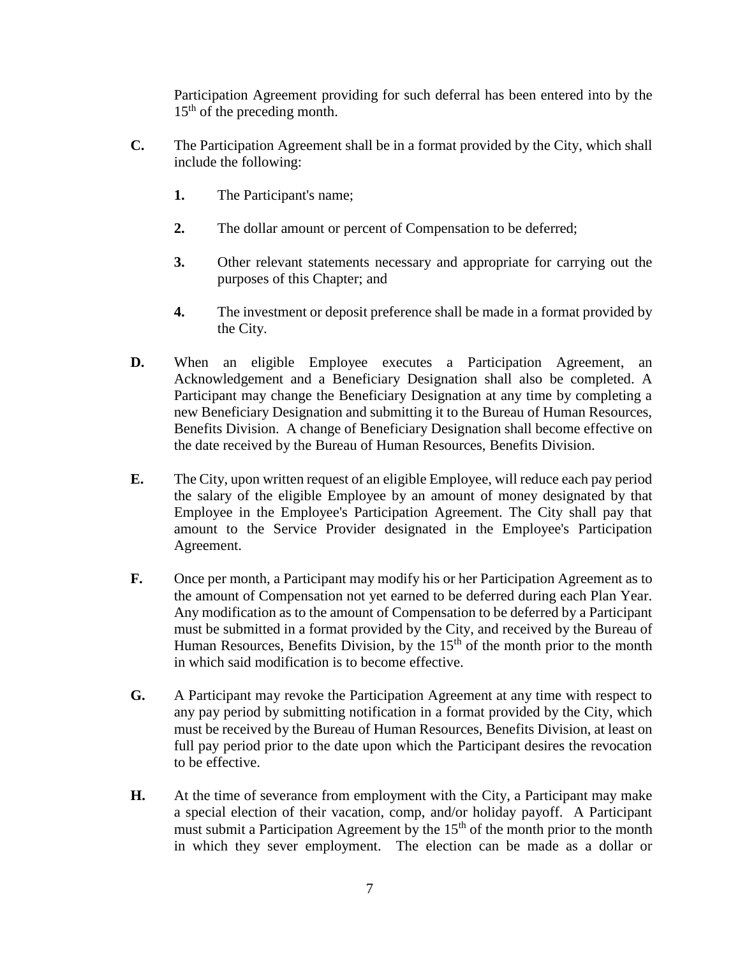Participation Agreement providing for such deferral has been entered into by the 15<sup>th</sup> of the preceding month.

- **C.** The Participation Agreement shall be in a format provided by the City, which shall include the following:
	- **1.** The Participant's name;
	- **2.** The dollar amount or percent of Compensation to be deferred;
	- **3.** Other relevant statements necessary and appropriate for carrying out the purposes of this Chapter; and
	- **4.** The investment or deposit preference shall be made in a format provided by the City.
- **D.** When an eligible Employee executes a Participation Agreement, an Acknowledgement and a Beneficiary Designation shall also be completed. A Participant may change the Beneficiary Designation at any time by completing a new Beneficiary Designation and submitting it to the Bureau of Human Resources, Benefits Division. A change of Beneficiary Designation shall become effective on the date received by the Bureau of Human Resources, Benefits Division.
- **E.** The City, upon written request of an eligible Employee, will reduce each pay period the salary of the eligible Employee by an amount of money designated by that Employee in the Employee's Participation Agreement. The City shall pay that amount to the Service Provider designated in the Employee's Participation Agreement.
- **F.** Once per month, a Participant may modify his or her Participation Agreement as to the amount of Compensation not yet earned to be deferred during each Plan Year. Any modification as to the amount of Compensation to be deferred by a Participant must be submitted in a format provided by the City, and received by the Bureau of Human Resources, Benefits Division, by the  $15<sup>th</sup>$  of the month prior to the month in which said modification is to become effective.
- **G.** A Participant may revoke the Participation Agreement at any time with respect to any pay period by submitting notification in a format provided by the City, which must be received by the Bureau of Human Resources, Benefits Division, at least on full pay period prior to the date upon which the Participant desires the revocation to be effective.
- **H.** At the time of severance from employment with the City, a Participant may make a special election of their vacation, comp, and/or holiday payoff. A Participant must submit a Participation Agreement by the  $15<sup>th</sup>$  of the month prior to the month in which they sever employment. The election can be made as a dollar or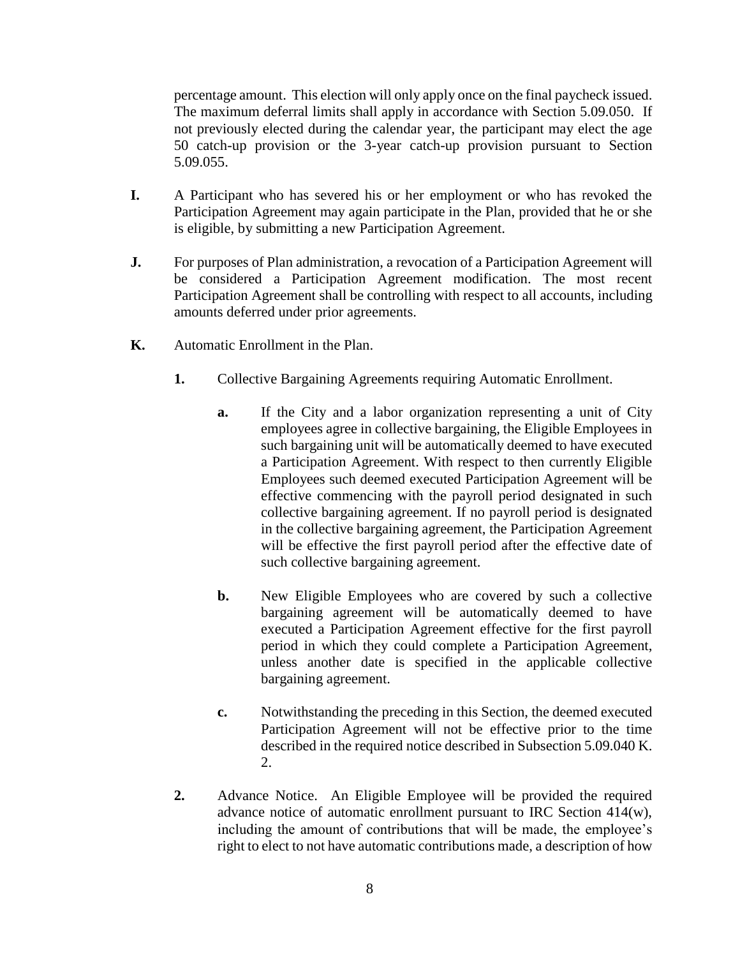percentage amount. This election will only apply once on the final paycheck issued. The maximum deferral limits shall apply in accordance with Section 5.09.050. If not previously elected during the calendar year, the participant may elect the age 50 catch-up provision or the 3-year catch-up provision pursuant to Section 5.09.055.

- **I.** A Participant who has severed his or her employment or who has revoked the Participation Agreement may again participate in the Plan, provided that he or she is eligible, by submitting a new Participation Agreement.
- **J.** For purposes of Plan administration, a revocation of a Participation Agreement will be considered a Participation Agreement modification. The most recent Participation Agreement shall be controlling with respect to all accounts, including amounts deferred under prior agreements.
- **K.** Automatic Enrollment in the Plan.
	- **1.** Collective Bargaining Agreements requiring Automatic Enrollment.
		- **a.** If the City and a labor organization representing a unit of City employees agree in collective bargaining, the Eligible Employees in such bargaining unit will be automatically deemed to have executed a Participation Agreement. With respect to then currently Eligible Employees such deemed executed Participation Agreement will be effective commencing with the payroll period designated in such collective bargaining agreement. If no payroll period is designated in the collective bargaining agreement, the Participation Agreement will be effective the first payroll period after the effective date of such collective bargaining agreement.
		- **b.** New Eligible Employees who are covered by such a collective bargaining agreement will be automatically deemed to have executed a Participation Agreement effective for the first payroll period in which they could complete a Participation Agreement, unless another date is specified in the applicable collective bargaining agreement.
		- **c.** Notwithstanding the preceding in this Section, the deemed executed Participation Agreement will not be effective prior to the time described in the required notice described in Subsection 5.09.040 K. 2.
	- **2.** Advance Notice. An Eligible Employee will be provided the required advance notice of automatic enrollment pursuant to IRC Section 414(w), including the amount of contributions that will be made, the employee's right to elect to not have automatic contributions made, a description of how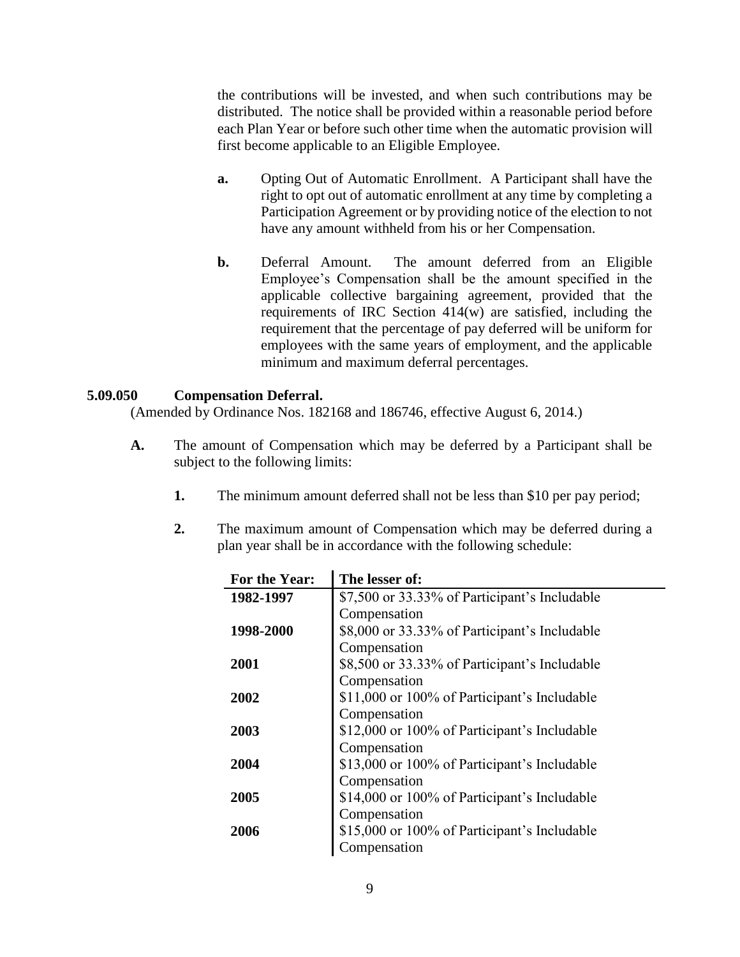the contributions will be invested, and when such contributions may be distributed. The notice shall be provided within a reasonable period before each Plan Year or before such other time when the automatic provision will first become applicable to an Eligible Employee.

- **a.** Opting Out of Automatic Enrollment. A Participant shall have the right to opt out of automatic enrollment at any time by completing a Participation Agreement or by providing notice of the election to not have any amount withheld from his or her Compensation.
- **b.** Deferral Amount. The amount deferred from an Eligible Employee's Compensation shall be the amount specified in the applicable collective bargaining agreement, provided that the requirements of IRC Section 414(w) are satisfied, including the requirement that the percentage of pay deferred will be uniform for employees with the same years of employment, and the applicable minimum and maximum deferral percentages.

## **5.09.050 Compensation Deferral.**

(Amended by Ordinance Nos. 182168 and 186746, effective August 6, 2014.)

- **A.** The amount of Compensation which may be deferred by a Participant shall be subject to the following limits:
	- **1.** The minimum amount deferred shall not be less than \$10 per pay period;
	- **2.** The maximum amount of Compensation which may be deferred during a plan year shall be in accordance with the following schedule:

| For the Year: | The lesser of:                                |
|---------------|-----------------------------------------------|
| 1982-1997     | \$7,500 or 33.33% of Participant's Includable |
|               | Compensation                                  |
| 1998-2000     | \$8,000 or 33.33% of Participant's Includable |
|               | Compensation                                  |
| 2001          | \$8,500 or 33.33% of Participant's Includable |
|               | Compensation                                  |
| 2002          | \$11,000 or 100% of Participant's Includable  |
|               | Compensation                                  |
| 2003          | \$12,000 or 100% of Participant's Includable  |
|               | Compensation                                  |
| 2004          | \$13,000 or 100% of Participant's Includable  |
|               | Compensation                                  |
| 2005          | \$14,000 or 100% of Participant's Includable  |
|               | Compensation                                  |
| 2006          | \$15,000 or 100% of Participant's Includable  |
|               | Compensation                                  |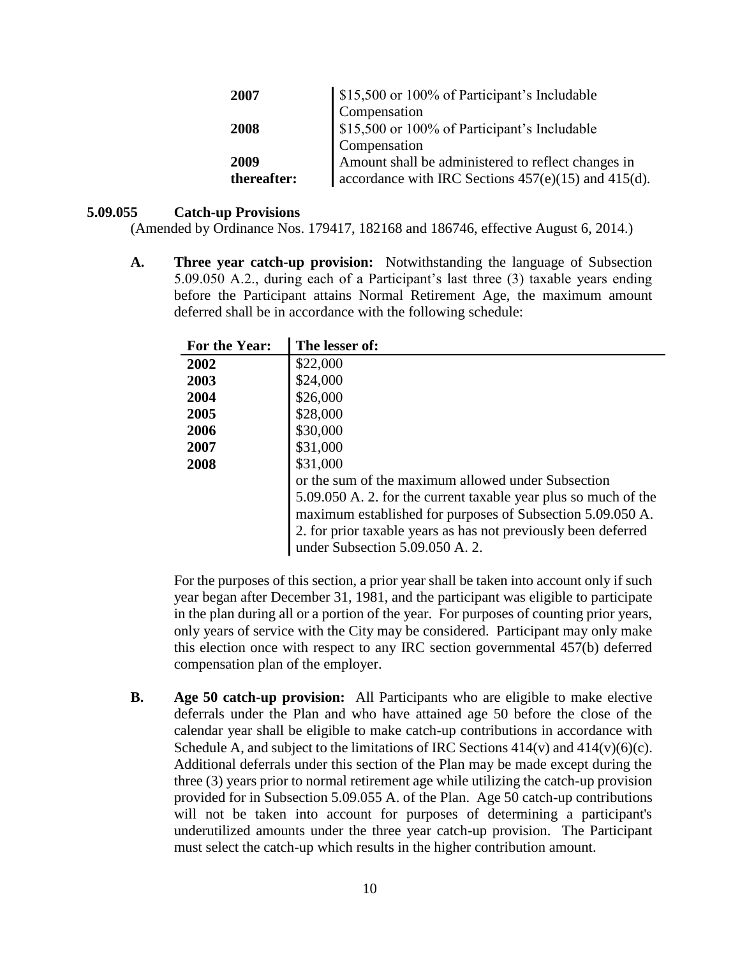| 2007        | \$15,500 or 100% of Participant's Includable             |
|-------------|----------------------------------------------------------|
|             | Compensation                                             |
| 2008        | \$15,500 or 100% of Participant's Includable             |
|             | Compensation                                             |
| 2009        | Amount shall be administered to reflect changes in       |
| thereafter: | accordance with IRC Sections $457(e)(15)$ and $415(d)$ . |

## **5.09.055 Catch-up Provisions**

(Amended by Ordinance Nos. 179417, 182168 and 186746, effective August 6, 2014.)

**A. Three year catch-up provision:** Notwithstanding the language of Subsection 5.09.050 A.2., during each of a Participant's last three (3) taxable years ending before the Participant attains Normal Retirement Age, the maximum amount deferred shall be in accordance with the following schedule:

| For the Year: | The lesser of:                                                                                                                                                                                                                     |
|---------------|------------------------------------------------------------------------------------------------------------------------------------------------------------------------------------------------------------------------------------|
| 2002          | \$22,000                                                                                                                                                                                                                           |
| 2003          | \$24,000                                                                                                                                                                                                                           |
| 2004          | \$26,000                                                                                                                                                                                                                           |
| 2005          | \$28,000                                                                                                                                                                                                                           |
| 2006          | \$30,000                                                                                                                                                                                                                           |
| 2007          | \$31,000                                                                                                                                                                                                                           |
| 2008          | \$31,000                                                                                                                                                                                                                           |
|               | or the sum of the maximum allowed under Subsection                                                                                                                                                                                 |
|               | 5.09.050 A. 2. for the current taxable year plus so much of the<br>maximum established for purposes of Subsection 5.09.050 A.<br>2. for prior taxable years as has not previously been deferred<br>under Subsection 5.09.050 A. 2. |

For the purposes of this section, a prior year shall be taken into account only if such year began after December 31, 1981, and the participant was eligible to participate in the plan during all or a portion of the year. For purposes of counting prior years, only years of service with the City may be considered. Participant may only make this election once with respect to any IRC section governmental 457(b) deferred compensation plan of the employer.

**B. Age 50 catch-up provision:** All Participants who are eligible to make elective deferrals under the Plan and who have attained age 50 before the close of the calendar year shall be eligible to make catch-up contributions in accordance with Schedule A, and subject to the limitations of IRC Sections  $414(v)$  and  $414(v)(6)(c)$ . Additional deferrals under this section of the Plan may be made except during the three (3) years prior to normal retirement age while utilizing the catch-up provision provided for in Subsection 5.09.055 A. of the Plan. Age 50 catch-up contributions will not be taken into account for purposes of determining a participant's underutilized amounts under the three year catch-up provision. The Participant must select the catch-up which results in the higher contribution amount.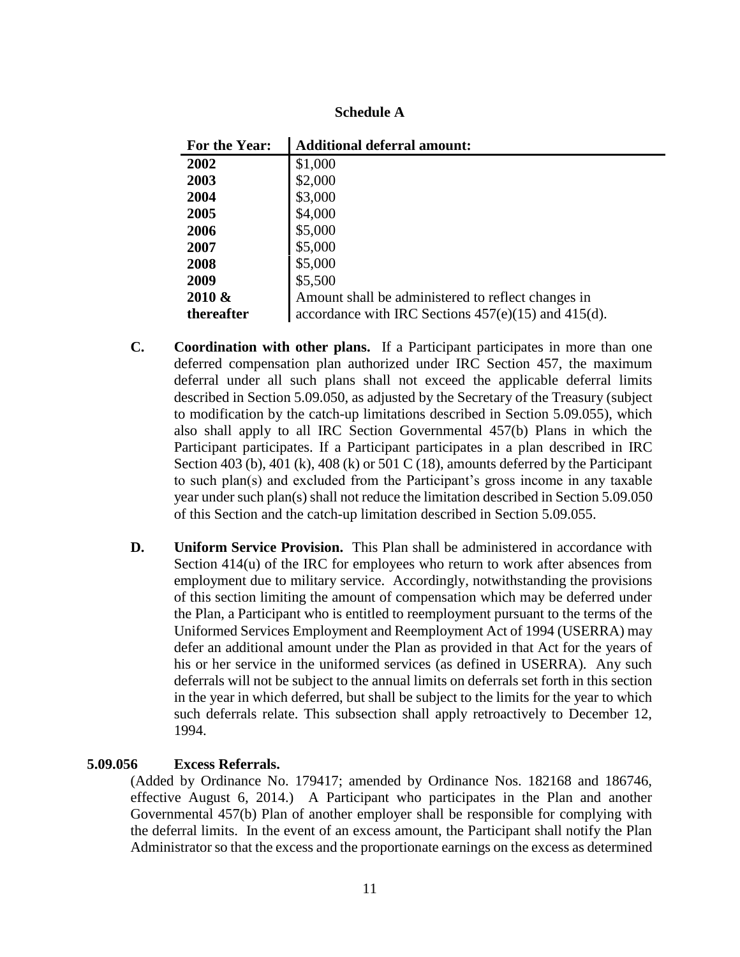| <b>Schedule A</b> |  |  |
|-------------------|--|--|
|-------------------|--|--|

| For the Year: | <b>Additional deferral amount:</b>                       |
|---------------|----------------------------------------------------------|
| 2002          | \$1,000                                                  |
| 2003          | \$2,000                                                  |
| 2004          | \$3,000                                                  |
| 2005          | \$4,000                                                  |
| 2006          | \$5,000                                                  |
| 2007          | \$5,000                                                  |
| 2008          | \$5,000                                                  |
| 2009          | \$5,500                                                  |
| $2010 \&$     | Amount shall be administered to reflect changes in       |
| thereafter    | accordance with IRC Sections $457(e)(15)$ and $415(d)$ . |

- **C. Coordination with other plans.** If a Participant participates in more than one deferred compensation plan authorized under IRC Section 457, the maximum deferral under all such plans shall not exceed the applicable deferral limits described in Section 5.09.050, as adjusted by the Secretary of the Treasury (subject to modification by the catch-up limitations described in Section 5.09.055), which also shall apply to all IRC Section Governmental 457(b) Plans in which the Participant participates. If a Participant participates in a plan described in IRC Section 403 (b), 401 (k), 408 (k) or 501 C (18), amounts deferred by the Participant to such plan(s) and excluded from the Participant's gross income in any taxable year under such plan(s) shall not reduce the limitation described in Section 5.09.050 of this Section and the catch-up limitation described in Section 5.09.055.
- **D. Uniform Service Provision.** This Plan shall be administered in accordance with Section  $414(u)$  of the IRC for employees who return to work after absences from employment due to military service. Accordingly, notwithstanding the provisions of this section limiting the amount of compensation which may be deferred under the Plan, a Participant who is entitled to reemployment pursuant to the terms of the Uniformed Services Employment and Reemployment Act of 1994 (USERRA) may defer an additional amount under the Plan as provided in that Act for the years of his or her service in the uniformed services (as defined in USERRA). Any such deferrals will not be subject to the annual limits on deferrals set forth in this section in the year in which deferred, but shall be subject to the limits for the year to which such deferrals relate. This subsection shall apply retroactively to December 12, 1994.

## **5.09.056 Excess Referrals.**

(Added by Ordinance No. 179417; amended by Ordinance Nos. 182168 and 186746, effective August 6, 2014.) A Participant who participates in the Plan and another Governmental 457(b) Plan of another employer shall be responsible for complying with the deferral limits. In the event of an excess amount, the Participant shall notify the Plan Administrator so that the excess and the proportionate earnings on the excess as determined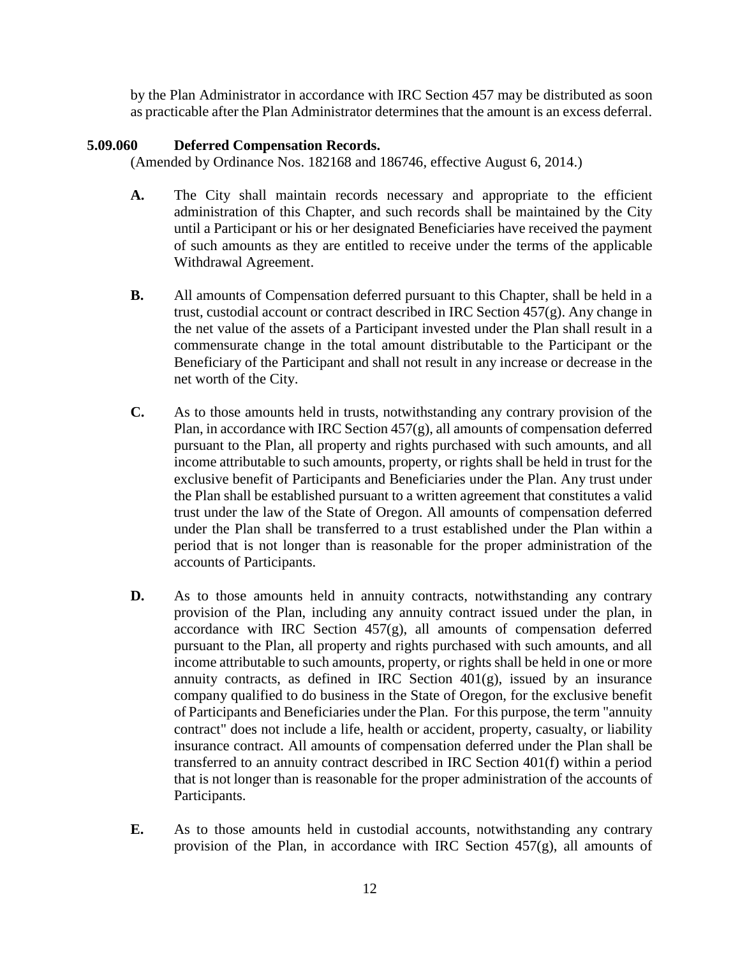by the Plan Administrator in accordance with IRC Section 457 may be distributed as soon as practicable after the Plan Administrator determines that the amount is an excess deferral.

## **5.09.060 Deferred Compensation Records.**

(Amended by Ordinance Nos. 182168 and 186746, effective August 6, 2014.)

- **A.** The City shall maintain records necessary and appropriate to the efficient administration of this Chapter, and such records shall be maintained by the City until a Participant or his or her designated Beneficiaries have received the payment of such amounts as they are entitled to receive under the terms of the applicable Withdrawal Agreement.
- **B.** All amounts of Compensation deferred pursuant to this Chapter, shall be held in a trust, custodial account or contract described in IRC Section 457(g). Any change in the net value of the assets of a Participant invested under the Plan shall result in a commensurate change in the total amount distributable to the Participant or the Beneficiary of the Participant and shall not result in any increase or decrease in the net worth of the City.
- **C.** As to those amounts held in trusts, notwithstanding any contrary provision of the Plan, in accordance with IRC Section 457(g), all amounts of compensation deferred pursuant to the Plan, all property and rights purchased with such amounts, and all income attributable to such amounts, property, or rights shall be held in trust for the exclusive benefit of Participants and Beneficiaries under the Plan. Any trust under the Plan shall be established pursuant to a written agreement that constitutes a valid trust under the law of the State of Oregon. All amounts of compensation deferred under the Plan shall be transferred to a trust established under the Plan within a period that is not longer than is reasonable for the proper administration of the accounts of Participants.
- **D.** As to those amounts held in annuity contracts, notwithstanding any contrary provision of the Plan, including any annuity contract issued under the plan, in accordance with IRC Section  $457(g)$ , all amounts of compensation deferred pursuant to the Plan, all property and rights purchased with such amounts, and all income attributable to such amounts, property, or rights shall be held in one or more annuity contracts, as defined in IRC Section  $401(g)$ , issued by an insurance company qualified to do business in the State of Oregon, for the exclusive benefit of Participants and Beneficiaries under the Plan. For this purpose, the term "annuity contract" does not include a life, health or accident, property, casualty, or liability insurance contract. All amounts of compensation deferred under the Plan shall be transferred to an annuity contract described in IRC Section 401(f) within a period that is not longer than is reasonable for the proper administration of the accounts of Participants.
- **E.** As to those amounts held in custodial accounts, notwithstanding any contrary provision of the Plan, in accordance with IRC Section  $457(g)$ , all amounts of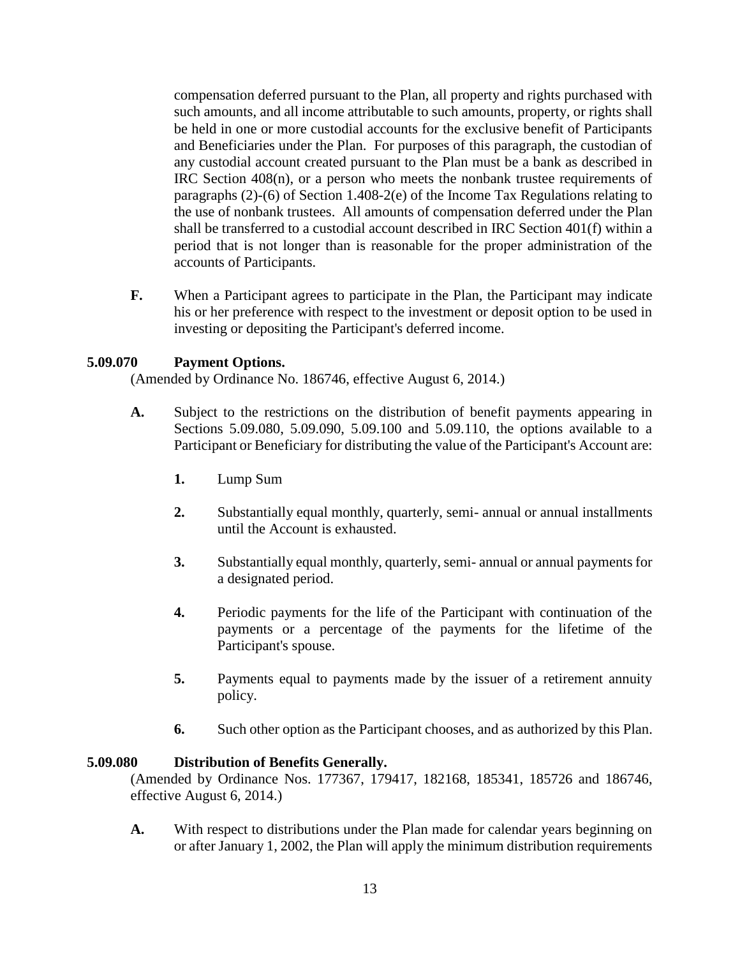compensation deferred pursuant to the Plan, all property and rights purchased with such amounts, and all income attributable to such amounts, property, or rights shall be held in one or more custodial accounts for the exclusive benefit of Participants and Beneficiaries under the Plan. For purposes of this paragraph, the custodian of any custodial account created pursuant to the Plan must be a bank as described in IRC Section 408(n), or a person who meets the nonbank trustee requirements of paragraphs (2)-(6) of Section 1.408-2(e) of the Income Tax Regulations relating to the use of nonbank trustees. All amounts of compensation deferred under the Plan shall be transferred to a custodial account described in IRC Section 401(f) within a period that is not longer than is reasonable for the proper administration of the accounts of Participants.

**F.** When a Participant agrees to participate in the Plan, the Participant may indicate his or her preference with respect to the investment or deposit option to be used in investing or depositing the Participant's deferred income.

## **5.09.070 Payment Options.**

(Amended by Ordinance No. 186746, effective August 6, 2014.)

- **A.** Subject to the restrictions on the distribution of benefit payments appearing in Sections 5.09.080, 5.09.090, 5.09.100 and 5.09.110, the options available to a Participant or Beneficiary for distributing the value of the Participant's Account are:
	- **1.** Lump Sum
	- **2.** Substantially equal monthly, quarterly, semi- annual or annual installments until the Account is exhausted.
	- **3.** Substantially equal monthly, quarterly, semi- annual or annual payments for a designated period.
	- **4.** Periodic payments for the life of the Participant with continuation of the payments or a percentage of the payments for the lifetime of the Participant's spouse.
	- **5.** Payments equal to payments made by the issuer of a retirement annuity policy.
	- **6.** Such other option as the Participant chooses, and as authorized by this Plan.

#### **5.09.080 Distribution of Benefits Generally.**

(Amended by Ordinance Nos. 177367, 179417, 182168, 185341, 185726 and 186746, effective August 6, 2014.)

**A.** With respect to distributions under the Plan made for calendar years beginning on or after January 1, 2002, the Plan will apply the minimum distribution requirements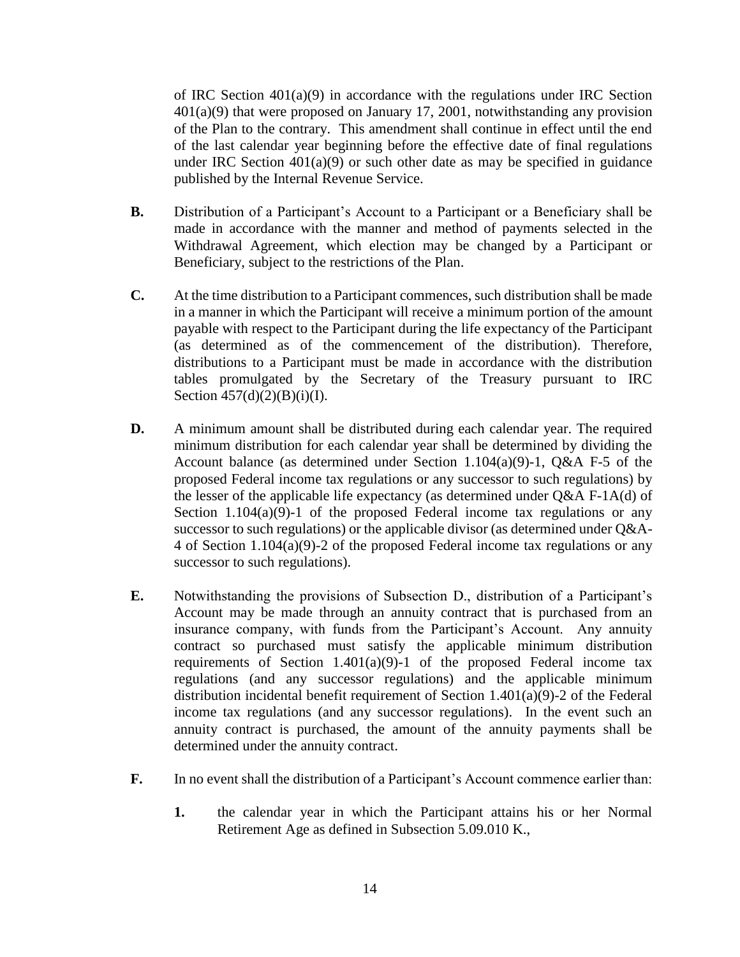of IRC Section  $401(a)(9)$  in accordance with the regulations under IRC Section 401(a)(9) that were proposed on January 17, 2001, notwithstanding any provision of the Plan to the contrary. This amendment shall continue in effect until the end of the last calendar year beginning before the effective date of final regulations under IRC Section  $401(a)(9)$  or such other date as may be specified in guidance published by the Internal Revenue Service.

- **B.** Distribution of a Participant's Account to a Participant or a Beneficiary shall be made in accordance with the manner and method of payments selected in the Withdrawal Agreement, which election may be changed by a Participant or Beneficiary, subject to the restrictions of the Plan.
- **C.** At the time distribution to a Participant commences, such distribution shall be made in a manner in which the Participant will receive a minimum portion of the amount payable with respect to the Participant during the life expectancy of the Participant (as determined as of the commencement of the distribution). Therefore, distributions to a Participant must be made in accordance with the distribution tables promulgated by the Secretary of the Treasury pursuant to IRC Section  $457(d)(2)(B)(i)(I)$ .
- **D.** A minimum amount shall be distributed during each calendar year. The required minimum distribution for each calendar year shall be determined by dividing the Account balance (as determined under Section 1.104(a)(9)-1, Q&A F-5 of the proposed Federal income tax regulations or any successor to such regulations) by the lesser of the applicable life expectancy (as determined under Q&A F-1A(d) of Section 1.104(a)(9)-1 of the proposed Federal income tax regulations or any successor to such regulations) or the applicable divisor (as determined under Q&A-4 of Section 1.104(a)(9)-2 of the proposed Federal income tax regulations or any successor to such regulations).
- **E.** Notwithstanding the provisions of Subsection D., distribution of a Participant's Account may be made through an annuity contract that is purchased from an insurance company, with funds from the Participant's Account. Any annuity contract so purchased must satisfy the applicable minimum distribution requirements of Section 1.401(a)(9)-1 of the proposed Federal income tax regulations (and any successor regulations) and the applicable minimum distribution incidental benefit requirement of Section 1.401(a)(9)-2 of the Federal income tax regulations (and any successor regulations). In the event such an annuity contract is purchased, the amount of the annuity payments shall be determined under the annuity contract.
- **F.** In no event shall the distribution of a Participant's Account commence earlier than:
	- **1.** the calendar year in which the Participant attains his or her Normal Retirement Age as defined in Subsection 5.09.010 K.,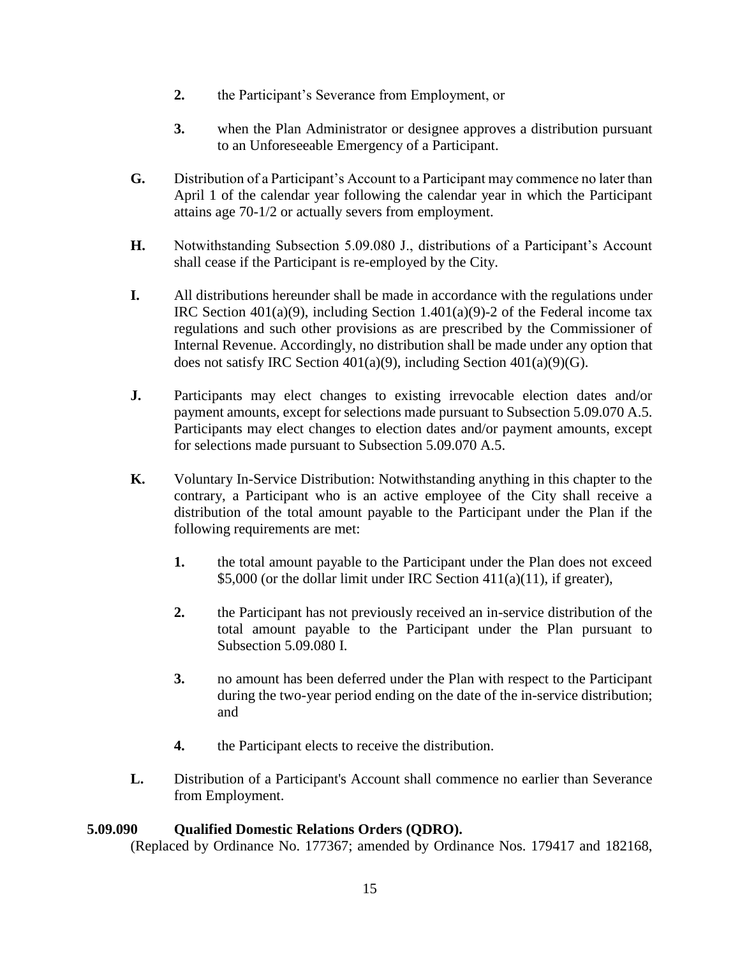- **2.** the Participant's Severance from Employment, or
- **3.** when the Plan Administrator or designee approves a distribution pursuant to an Unforeseeable Emergency of a Participant.
- **G.** Distribution of a Participant's Account to a Participant may commence no later than April 1 of the calendar year following the calendar year in which the Participant attains age 70-1/2 or actually severs from employment.
- **H.** Notwithstanding Subsection 5.09.080 J., distributions of a Participant's Account shall cease if the Participant is re-employed by the City.
- **I.** All distributions hereunder shall be made in accordance with the regulations under IRC Section 401(a)(9), including Section 1.401(a)(9)-2 of the Federal income tax regulations and such other provisions as are prescribed by the Commissioner of Internal Revenue. Accordingly, no distribution shall be made under any option that does not satisfy IRC Section 401(a)(9), including Section 401(a)(9)(G).
- **J.** Participants may elect changes to existing irrevocable election dates and/or payment amounts, except for selections made pursuant to Subsection 5.09.070 A.5. Participants may elect changes to election dates and/or payment amounts, except for selections made pursuant to Subsection 5.09.070 A.5.
- **K.** Voluntary In-Service Distribution: Notwithstanding anything in this chapter to the contrary, a Participant who is an active employee of the City shall receive a distribution of the total amount payable to the Participant under the Plan if the following requirements are met:
	- **1.** the total amount payable to the Participant under the Plan does not exceed \$5,000 (or the dollar limit under IRC Section  $411(a)(11)$ , if greater),
	- **2.** the Participant has not previously received an in-service distribution of the total amount payable to the Participant under the Plan pursuant to Subsection 5.09.080 I.
	- **3.** no amount has been deferred under the Plan with respect to the Participant during the two-year period ending on the date of the in-service distribution; and
	- **4.** the Participant elects to receive the distribution.
- **L.** Distribution of a Participant's Account shall commence no earlier than Severance from Employment.

### **5.09.090 Qualified Domestic Relations Orders (QDRO).**

(Replaced by Ordinance No. 177367; amended by Ordinance Nos. 179417 and 182168,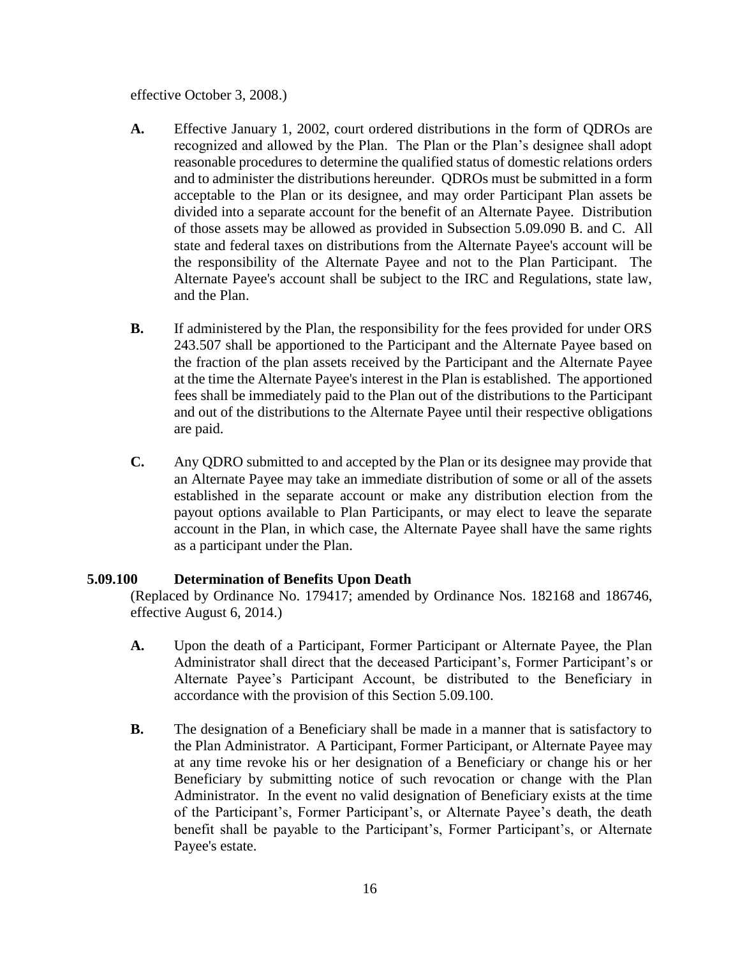effective October 3, 2008.)

- **A.** Effective January 1, 2002, court ordered distributions in the form of QDROs are recognized and allowed by the Plan. The Plan or the Plan's designee shall adopt reasonable procedures to determine the qualified status of domestic relations orders and to administer the distributions hereunder. QDROs must be submitted in a form acceptable to the Plan or its designee, and may order Participant Plan assets be divided into a separate account for the benefit of an Alternate Payee. Distribution of those assets may be allowed as provided in Subsection 5.09.090 B. and C. All state and federal taxes on distributions from the Alternate Payee's account will be the responsibility of the Alternate Payee and not to the Plan Participant. The Alternate Payee's account shall be subject to the IRC and Regulations, state law, and the Plan.
- **B.** If administered by the Plan, the responsibility for the fees provided for under ORS 243.507 shall be apportioned to the Participant and the Alternate Payee based on the fraction of the plan assets received by the Participant and the Alternate Payee at the time the Alternate Payee's interest in the Plan is established. The apportioned fees shall be immediately paid to the Plan out of the distributions to the Participant and out of the distributions to the Alternate Payee until their respective obligations are paid.
- **C.** Any QDRO submitted to and accepted by the Plan or its designee may provide that an Alternate Payee may take an immediate distribution of some or all of the assets established in the separate account or make any distribution election from the payout options available to Plan Participants, or may elect to leave the separate account in the Plan, in which case, the Alternate Payee shall have the same rights as a participant under the Plan.

### **5.09.100 Determination of Benefits Upon Death**

(Replaced by Ordinance No. 179417; amended by Ordinance Nos. 182168 and 186746, effective August 6, 2014.)

- **A.** Upon the death of a Participant, Former Participant or Alternate Payee, the Plan Administrator shall direct that the deceased Participant's, Former Participant's or Alternate Payee's Participant Account, be distributed to the Beneficiary in accordance with the provision of this Section 5.09.100.
- **B.** The designation of a Beneficiary shall be made in a manner that is satisfactory to the Plan Administrator. A Participant, Former Participant, or Alternate Payee may at any time revoke his or her designation of a Beneficiary or change his or her Beneficiary by submitting notice of such revocation or change with the Plan Administrator. In the event no valid designation of Beneficiary exists at the time of the Participant's, Former Participant's, or Alternate Payee's death, the death benefit shall be payable to the Participant's, Former Participant's, or Alternate Payee's estate.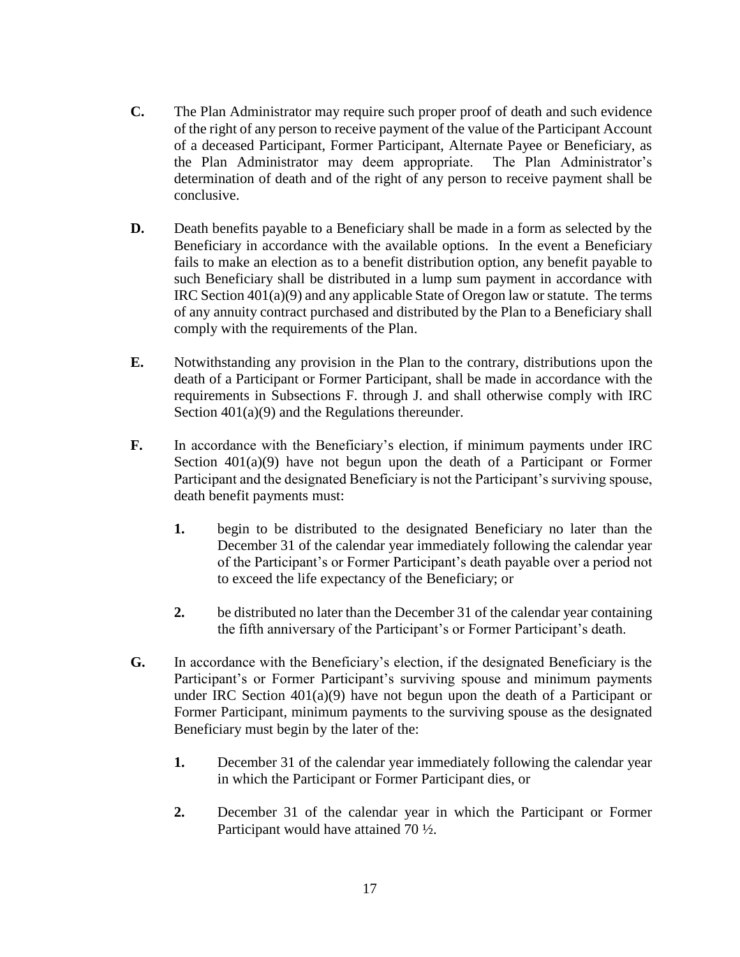- **C.** The Plan Administrator may require such proper proof of death and such evidence of the right of any person to receive payment of the value of the Participant Account of a deceased Participant, Former Participant, Alternate Payee or Beneficiary, as the Plan Administrator may deem appropriate. The Plan Administrator's determination of death and of the right of any person to receive payment shall be conclusive.
- **D.** Death benefits payable to a Beneficiary shall be made in a form as selected by the Beneficiary in accordance with the available options. In the event a Beneficiary fails to make an election as to a benefit distribution option, any benefit payable to such Beneficiary shall be distributed in a lump sum payment in accordance with IRC Section 401(a)(9) and any applicable State of Oregon law or statute. The terms of any annuity contract purchased and distributed by the Plan to a Beneficiary shall comply with the requirements of the Plan.
- **E.** Notwithstanding any provision in the Plan to the contrary, distributions upon the death of a Participant or Former Participant, shall be made in accordance with the requirements in Subsections F. through J. and shall otherwise comply with IRC Section  $401(a)(9)$  and the Regulations thereunder.
- **F.** In accordance with the Beneficiary's election, if minimum payments under IRC Section 401(a)(9) have not begun upon the death of a Participant or Former Participant and the designated Beneficiary is not the Participant's surviving spouse, death benefit payments must:
	- **1.** begin to be distributed to the designated Beneficiary no later than the December 31 of the calendar year immediately following the calendar year of the Participant's or Former Participant's death payable over a period not to exceed the life expectancy of the Beneficiary; or
	- **2.** be distributed no later than the December 31 of the calendar year containing the fifth anniversary of the Participant's or Former Participant's death.
- **G.** In accordance with the Beneficiary's election, if the designated Beneficiary is the Participant's or Former Participant's surviving spouse and minimum payments under IRC Section 401(a)(9) have not begun upon the death of a Participant or Former Participant, minimum payments to the surviving spouse as the designated Beneficiary must begin by the later of the:
	- **1.** December 31 of the calendar year immediately following the calendar year in which the Participant or Former Participant dies, or
	- **2.** December 31 of the calendar year in which the Participant or Former Participant would have attained 70 ½.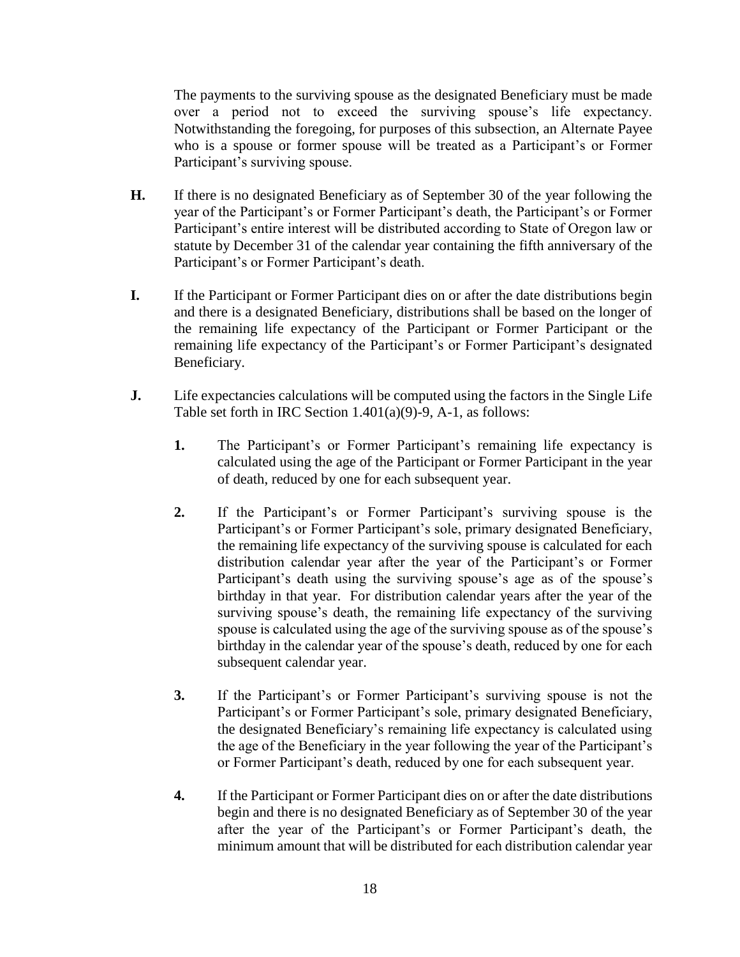The payments to the surviving spouse as the designated Beneficiary must be made over a period not to exceed the surviving spouse's life expectancy. Notwithstanding the foregoing, for purposes of this subsection, an Alternate Payee who is a spouse or former spouse will be treated as a Participant's or Former Participant's surviving spouse.

- **H.** If there is no designated Beneficiary as of September 30 of the year following the year of the Participant's or Former Participant's death, the Participant's or Former Participant's entire interest will be distributed according to State of Oregon law or statute by December 31 of the calendar year containing the fifth anniversary of the Participant's or Former Participant's death.
- **I.** If the Participant or Former Participant dies on or after the date distributions begin and there is a designated Beneficiary, distributions shall be based on the longer of the remaining life expectancy of the Participant or Former Participant or the remaining life expectancy of the Participant's or Former Participant's designated Beneficiary.
- **J.** Life expectancies calculations will be computed using the factors in the Single Life Table set forth in IRC Section 1.401(a)(9)-9, A-1, as follows:
	- **1.** The Participant's or Former Participant's remaining life expectancy is calculated using the age of the Participant or Former Participant in the year of death, reduced by one for each subsequent year.
	- **2.** If the Participant's or Former Participant's surviving spouse is the Participant's or Former Participant's sole, primary designated Beneficiary, the remaining life expectancy of the surviving spouse is calculated for each distribution calendar year after the year of the Participant's or Former Participant's death using the surviving spouse's age as of the spouse's birthday in that year. For distribution calendar years after the year of the surviving spouse's death, the remaining life expectancy of the surviving spouse is calculated using the age of the surviving spouse as of the spouse's birthday in the calendar year of the spouse's death, reduced by one for each subsequent calendar year.
	- **3.** If the Participant's or Former Participant's surviving spouse is not the Participant's or Former Participant's sole, primary designated Beneficiary, the designated Beneficiary's remaining life expectancy is calculated using the age of the Beneficiary in the year following the year of the Participant's or Former Participant's death, reduced by one for each subsequent year.
	- **4.** If the Participant or Former Participant dies on or after the date distributions begin and there is no designated Beneficiary as of September 30 of the year after the year of the Participant's or Former Participant's death, the minimum amount that will be distributed for each distribution calendar year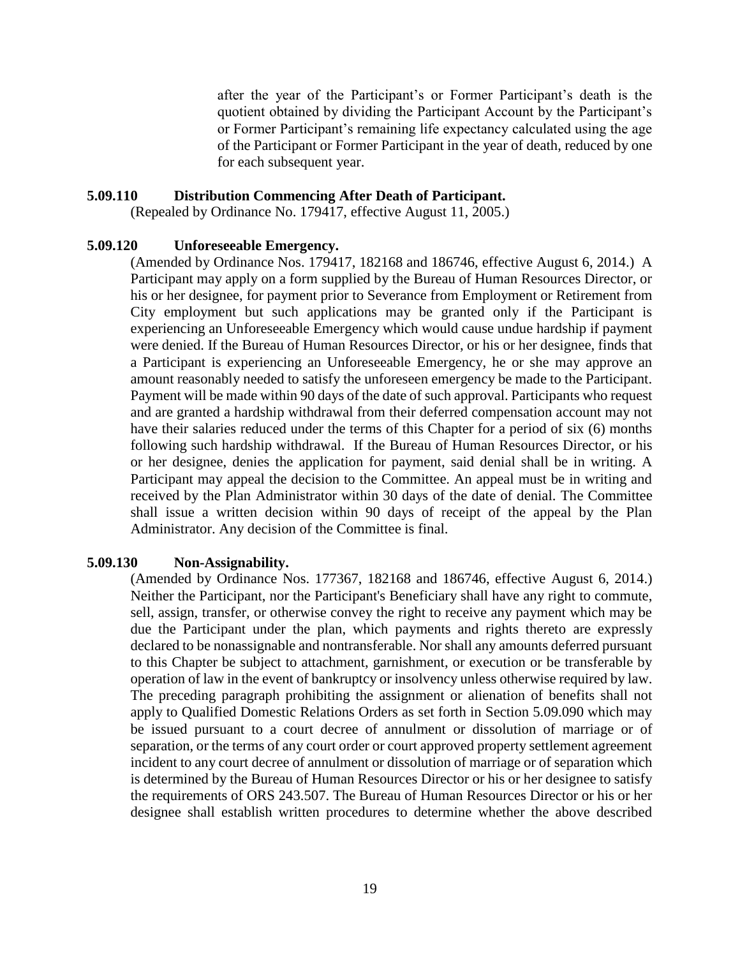after the year of the Participant's or Former Participant's death is the quotient obtained by dividing the Participant Account by the Participant's or Former Participant's remaining life expectancy calculated using the age of the Participant or Former Participant in the year of death, reduced by one for each subsequent year.

#### **5.09.110 Distribution Commencing After Death of Participant.**

(Repealed by Ordinance No. 179417, effective August 11, 2005.)

### **5.09.120 Unforeseeable Emergency.**

(Amended by Ordinance Nos. 179417, 182168 and 186746, effective August 6, 2014.) A Participant may apply on a form supplied by the Bureau of Human Resources Director, or his or her designee, for payment prior to Severance from Employment or Retirement from City employment but such applications may be granted only if the Participant is experiencing an Unforeseeable Emergency which would cause undue hardship if payment were denied. If the Bureau of Human Resources Director, or his or her designee, finds that a Participant is experiencing an Unforeseeable Emergency, he or she may approve an amount reasonably needed to satisfy the unforeseen emergency be made to the Participant. Payment will be made within 90 days of the date of such approval. Participants who request and are granted a hardship withdrawal from their deferred compensation account may not have their salaries reduced under the terms of this Chapter for a period of six (6) months following such hardship withdrawal. If the Bureau of Human Resources Director, or his or her designee, denies the application for payment, said denial shall be in writing. A Participant may appeal the decision to the Committee. An appeal must be in writing and received by the Plan Administrator within 30 days of the date of denial. The Committee shall issue a written decision within 90 days of receipt of the appeal by the Plan Administrator. Any decision of the Committee is final.

### **5.09.130 Non-Assignability.**

(Amended by Ordinance Nos. 177367, 182168 and 186746, effective August 6, 2014.) Neither the Participant, nor the Participant's Beneficiary shall have any right to commute, sell, assign, transfer, or otherwise convey the right to receive any payment which may be due the Participant under the plan, which payments and rights thereto are expressly declared to be nonassignable and nontransferable. Nor shall any amounts deferred pursuant to this Chapter be subject to attachment, garnishment, or execution or be transferable by operation of law in the event of bankruptcy or insolvency unless otherwise required by law. The preceding paragraph prohibiting the assignment or alienation of benefits shall not apply to Qualified Domestic Relations Orders as set forth in Section 5.09.090 which may be issued pursuant to a court decree of annulment or dissolution of marriage or of separation, or the terms of any court order or court approved property settlement agreement incident to any court decree of annulment or dissolution of marriage or of separation which is determined by the Bureau of Human Resources Director or his or her designee to satisfy the requirements of ORS 243.507. The Bureau of Human Resources Director or his or her designee shall establish written procedures to determine whether the above described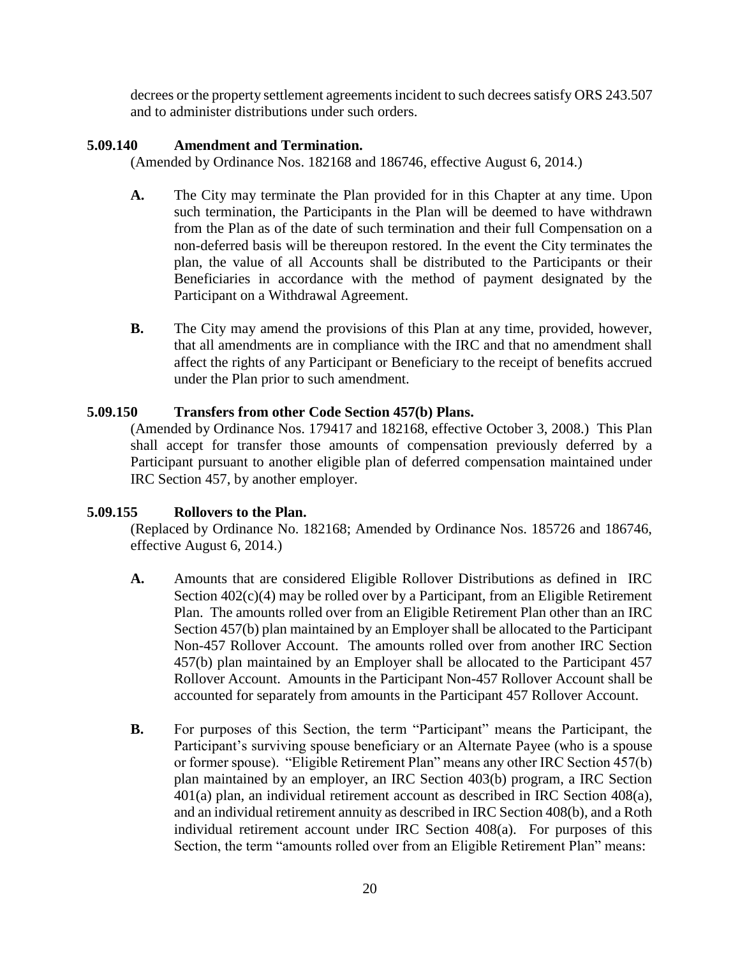decrees or the property settlement agreements incident to such decrees satisfy ORS 243.507 and to administer distributions under such orders.

# **5.09.140 Amendment and Termination.**

(Amended by Ordinance Nos. 182168 and 186746, effective August 6, 2014.)

- **A.** The City may terminate the Plan provided for in this Chapter at any time. Upon such termination, the Participants in the Plan will be deemed to have withdrawn from the Plan as of the date of such termination and their full Compensation on a non-deferred basis will be thereupon restored. In the event the City terminates the plan, the value of all Accounts shall be distributed to the Participants or their Beneficiaries in accordance with the method of payment designated by the Participant on a Withdrawal Agreement.
- **B.** The City may amend the provisions of this Plan at any time, provided, however, that all amendments are in compliance with the IRC and that no amendment shall affect the rights of any Participant or Beneficiary to the receipt of benefits accrued under the Plan prior to such amendment.

## **5.09.150 Transfers from other Code Section 457(b) Plans.**

(Amended by Ordinance Nos. 179417 and 182168, effective October 3, 2008.) This Plan shall accept for transfer those amounts of compensation previously deferred by a Participant pursuant to another eligible plan of deferred compensation maintained under IRC Section 457, by another employer.

# **5.09.155 Rollovers to the Plan.**

(Replaced by Ordinance No. 182168; Amended by Ordinance Nos. 185726 and 186746, effective August 6, 2014.)

- **A.** Amounts that are considered Eligible Rollover Distributions as defined in IRC Section  $402(c)(4)$  may be rolled over by a Participant, from an Eligible Retirement Plan. The amounts rolled over from an Eligible Retirement Plan other than an IRC Section 457(b) plan maintained by an Employer shall be allocated to the Participant Non-457 Rollover Account. The amounts rolled over from another IRC Section 457(b) plan maintained by an Employer shall be allocated to the Participant 457 Rollover Account. Amounts in the Participant Non-457 Rollover Account shall be accounted for separately from amounts in the Participant 457 Rollover Account.
- **B.** For purposes of this Section, the term "Participant" means the Participant, the Participant's surviving spouse beneficiary or an Alternate Payee (who is a spouse or former spouse). "Eligible Retirement Plan" means any other IRC Section 457(b) plan maintained by an employer, an IRC Section 403(b) program, a IRC Section 401(a) plan, an individual retirement account as described in IRC Section 408(a), and an individual retirement annuity as described in IRC Section 408(b), and a Roth individual retirement account under IRC Section 408(a). For purposes of this Section, the term "amounts rolled over from an Eligible Retirement Plan" means: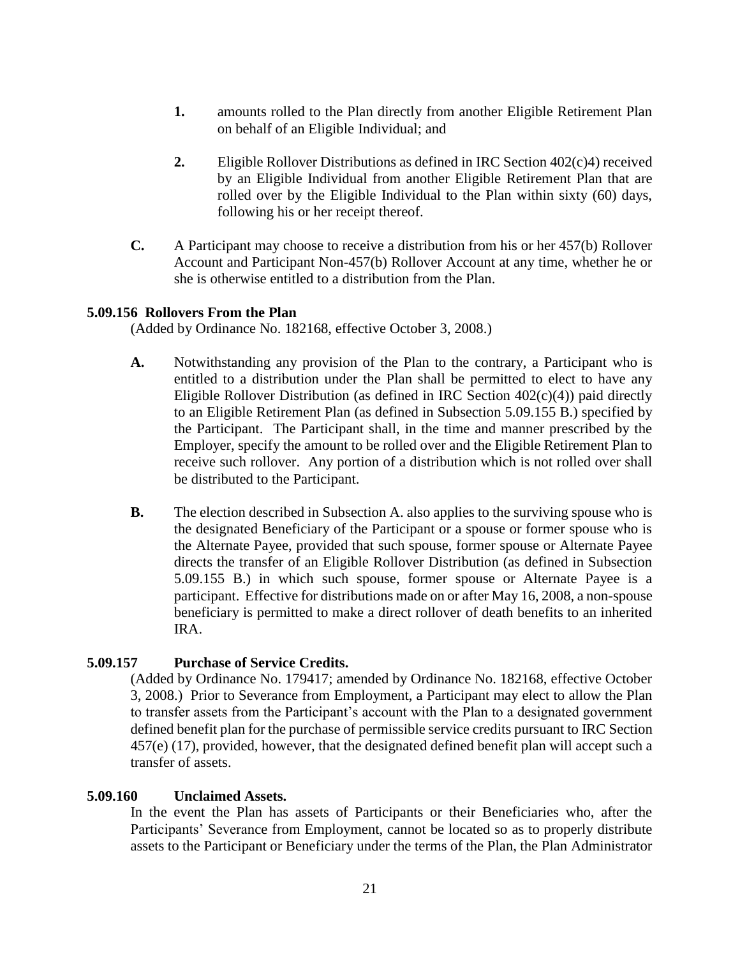- **1.** amounts rolled to the Plan directly from another Eligible Retirement Plan on behalf of an Eligible Individual; and
- **2.** Eligible Rollover Distributions as defined in IRC Section 402(c)4) received by an Eligible Individual from another Eligible Retirement Plan that are rolled over by the Eligible Individual to the Plan within sixty (60) days, following his or her receipt thereof.
- **C.** A Participant may choose to receive a distribution from his or her 457(b) Rollover Account and Participant Non-457(b) Rollover Account at any time, whether he or she is otherwise entitled to a distribution from the Plan.

### **5.09.156 Rollovers From the Plan**

(Added by Ordinance No. 182168, effective October 3, 2008.)

- **A.** Notwithstanding any provision of the Plan to the contrary, a Participant who is entitled to a distribution under the Plan shall be permitted to elect to have any Eligible Rollover Distribution (as defined in IRC Section  $402(c)(4)$ ) paid directly to an Eligible Retirement Plan (as defined in Subsection 5.09.155 B.) specified by the Participant. The Participant shall, in the time and manner prescribed by the Employer, specify the amount to be rolled over and the Eligible Retirement Plan to receive such rollover. Any portion of a distribution which is not rolled over shall be distributed to the Participant.
- **B.** The election described in Subsection A. also applies to the surviving spouse who is the designated Beneficiary of the Participant or a spouse or former spouse who is the Alternate Payee, provided that such spouse, former spouse or Alternate Payee directs the transfer of an Eligible Rollover Distribution (as defined in Subsection 5.09.155 B.) in which such spouse, former spouse or Alternate Payee is a participant. Effective for distributions made on or after May 16, 2008, a non-spouse beneficiary is permitted to make a direct rollover of death benefits to an inherited IRA.

# **5.09.157 Purchase of Service Credits.**

(Added by Ordinance No. 179417; amended by Ordinance No. 182168, effective October 3, 2008.) Prior to Severance from Employment, a Participant may elect to allow the Plan to transfer assets from the Participant's account with the Plan to a designated government defined benefit plan for the purchase of permissible service credits pursuant to IRC Section 457(e) (17), provided, however, that the designated defined benefit plan will accept such a transfer of assets.

### **5.09.160 Unclaimed Assets.**

In the event the Plan has assets of Participants or their Beneficiaries who, after the Participants' Severance from Employment, cannot be located so as to properly distribute assets to the Participant or Beneficiary under the terms of the Plan, the Plan Administrator